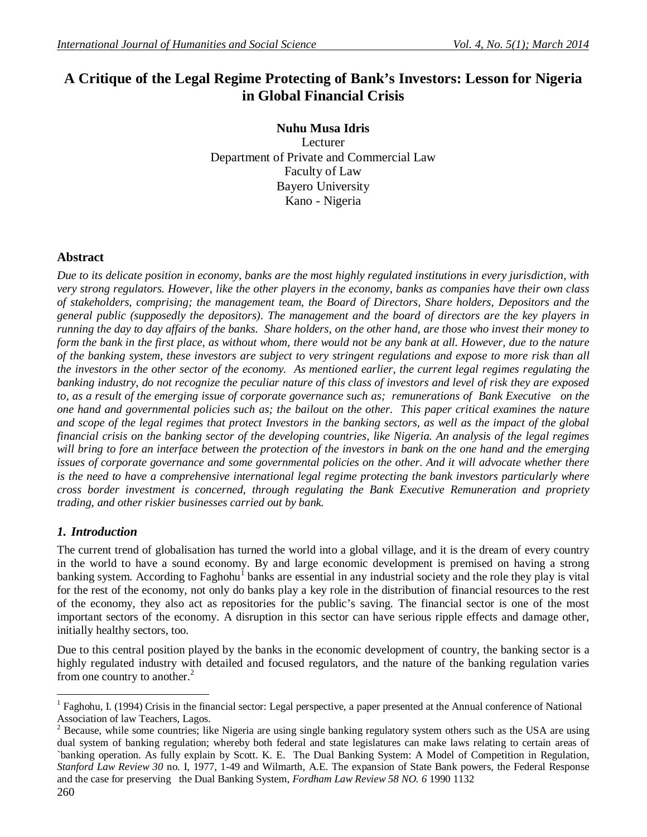# **A Critique of the Legal Regime Protecting of Bank's Investors: Lesson for Nigeria in Global Financial Crisis**

**Nuhu Musa Idris** Lecturer Department of Private and Commercial Law Faculty of Law Bayero University Kano - Nigeria

## **Abstract**

*Due to its delicate position in economy, banks are the most highly regulated institutions in every jurisdiction, with very strong regulators. However, like the other players in the economy, banks as companies have their own class of stakeholders, comprising; the management team, the Board of Directors, Share holders, Depositors and the general public (supposedly the depositors). The management and the board of directors are the key players in running the day to day affairs of the banks. Share holders, on the other hand, are those who invest their money to*  form the bank in the first place, as without whom, there would not be any bank at all. However, due to the nature *of the banking system, these investors are subject to very stringent regulations and expose to more risk than all the investors in the other sector of the economy. As mentioned earlier, the current legal regimes regulating the banking industry, do not recognize the peculiar nature of this class of investors and level of risk they are exposed to, as a result of the emerging issue of corporate governance such as; remunerations of Bank Executive on the one hand and governmental policies such as; the bailout on the other. This paper critical examines the nature and scope of the legal regimes that protect Investors in the banking sectors, as well as the impact of the global financial crisis on the banking sector of the developing countries, like Nigeria. An analysis of the legal regimes will bring to fore an interface between the protection of the investors in bank on the one hand and the emerging issues of corporate governance and some governmental policies on the other. And it will advocate whether there is the need to have a comprehensive international legal regime protecting the bank investors particularly where cross border investment is concerned, through regulating the Bank Executive Remuneration and propriety trading, and other riskier businesses carried out by bank.* 

# *1. Introduction*

The current trend of globalisation has turned the world into a global village, and it is the dream of every country in the world to have a sound economy. By and large economic development is premised on having a strong banking system. According to Faghohu<sup>1</sup> banks are essential in any industrial society and the role they play is vital for the rest of the economy, not only do banks play a key role in the distribution of financial resources to the rest of the economy, they also act as repositories for the public's saving. The financial sector is one of the most important sectors of the economy. A disruption in this sector can have serious ripple effects and damage other, initially healthy sectors, too.

Due to this central position played by the banks in the economic development of country, the banking sector is a highly regulated industry with detailed and focused regulators, and the nature of the banking regulation varies from one country to another. $<sup>2</sup>$ </sup>

<sup>1</sup> Faghohu, I. (1994) Crisis in the financial sector: Legal perspective, a paper presented at the Annual conference of National Association of law Teachers, Lagos.

 $2$  Because, while some countries; like Nigeria are using single banking regulatory system others such as the USA are using dual system of banking regulation; whereby both federal and state legislatures can make laws relating to certain areas of `banking operation. As fully explain by Scott. K. E. The Dual Banking System: A Model of Competition in Regulation, *Stanford Law Review 30* no. I, 1977, 1-49 and Wilmarth, A.E. The expansion of State Bank powers, the Federal Response and the case for preserving the Dual Banking System, *Fordham Law Review 58 NO. 6* 1990 1132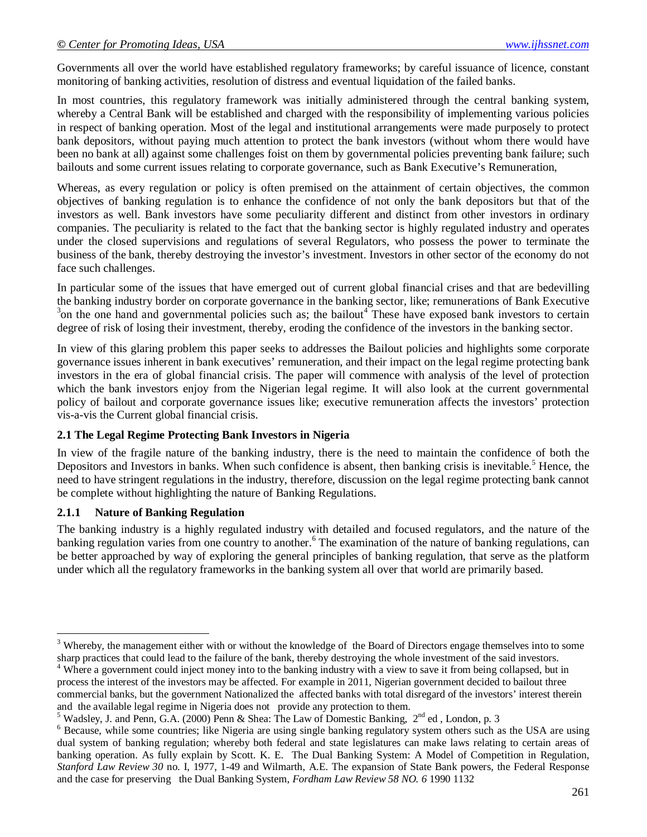Governments all over the world have established regulatory frameworks; by careful issuance of licence, constant monitoring of banking activities, resolution of distress and eventual liquidation of the failed banks.

In most countries, this regulatory framework was initially administered through the central banking system, whereby a Central Bank will be established and charged with the responsibility of implementing various policies in respect of banking operation. Most of the legal and institutional arrangements were made purposely to protect bank depositors, without paying much attention to protect the bank investors (without whom there would have been no bank at all) against some challenges foist on them by governmental policies preventing bank failure; such bailouts and some current issues relating to corporate governance, such as Bank Executive's Remuneration,

Whereas, as every regulation or policy is often premised on the attainment of certain objectives, the common objectives of banking regulation is to enhance the confidence of not only the bank depositors but that of the investors as well. Bank investors have some peculiarity different and distinct from other investors in ordinary companies. The peculiarity is related to the fact that the banking sector is highly regulated industry and operates under the closed supervisions and regulations of several Regulators, who possess the power to terminate the business of the bank, thereby destroying the investor's investment. Investors in other sector of the economy do not face such challenges.

In particular some of the issues that have emerged out of current global financial crises and that are bedevilling the banking industry border on corporate governance in the banking sector, like; remunerations of Bank Executive  $3$ on the one hand and governmental policies such as; the bailout<sup>4</sup> These have exposed bank investors to certain degree of risk of losing their investment, thereby, eroding the confidence of the investors in the banking sector.

In view of this glaring problem this paper seeks to addresses the Bailout policies and highlights some corporate governance issues inherent in bank executives' remuneration, and their impact on the legal regime protecting bank investors in the era of global financial crisis. The paper will commence with analysis of the level of protection which the bank investors enjoy from the Nigerian legal regime. It will also look at the current governmental policy of bailout and corporate governance issues like; executive remuneration affects the investors' protection vis-a-vis the Current global financial crisis.

## **2.1 The Legal Regime Protecting Bank Investors in Nigeria**

In view of the fragile nature of the banking industry, there is the need to maintain the confidence of both the Depositors and Investors in banks. When such confidence is absent, then banking crisis is inevitable.<sup>5</sup> Hence, the need to have stringent regulations in the industry, therefore, discussion on the legal regime protecting bank cannot be complete without highlighting the nature of Banking Regulations.

## **2.1.1 Nature of Banking Regulation**

The banking industry is a highly regulated industry with detailed and focused regulators, and the nature of the banking regulation varies from one country to another.<sup>6</sup> The examination of the nature of banking regulations, can be better approached by way of exploring the general principles of banking regulation, that serve as the platform under which all the regulatory frameworks in the banking system all over that world are primarily based.

 $\overline{a}$ <sup>3</sup> Whereby, the management either with or without the knowledge of the Board of Directors engage themselves into to some sharp practices that could lead to the failure of the bank, thereby destroying the whole investment of the said investors.

<sup>&</sup>lt;sup>4</sup> Where a government could inject money into to the banking industry with a view to save it from being collapsed, but in process the interest of the investors may be affected. For example in 2011, Nigerian government decided to bailout three commercial banks, but the government Nationalized the affected banks with total disregard of the investors' interest therein and the available legal regime in Nigeria does not provide any protection to them.

<sup>&</sup>lt;sup>5</sup> Wadsley, J. and Penn, G.A. (2000) Penn & Shea: The Law of Domestic Banking,  $2<sup>nd</sup>$  ed , London, p. 3

<sup>&</sup>lt;sup>6</sup> Because, while some countries; like Nigeria are using single banking regulatory system others such as the USA are using dual system of banking regulation; whereby both federal and state legislatures can make laws relating to certain areas of banking operation. As fully explain by Scott. K. E. The Dual Banking System: A Model of Competition in Regulation, *Stanford Law Review 30* no. I, 1977, 1-49 and Wilmarth, A.E. The expansion of State Bank powers, the Federal Response and the case for preserving the Dual Banking System, *Fordham Law Review 58 NO. 6* 1990 1132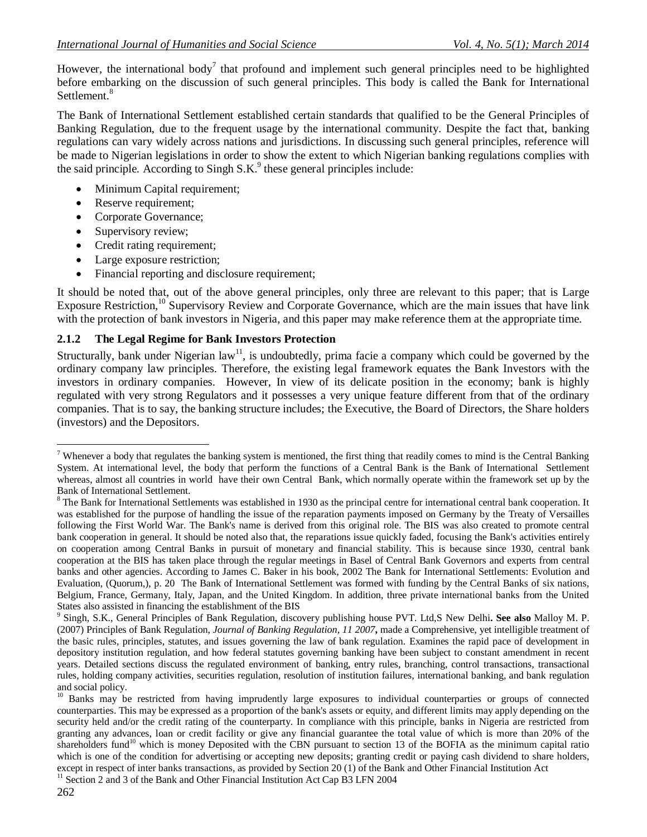However, the international body<sup>7</sup> that profound and implement such general principles need to be highlighted before embarking on the discussion of such general principles. This body is called the Bank for International Settlement<sup>8</sup>

The Bank of International Settlement established certain standards that qualified to be the General Principles of Banking Regulation, due to the frequent usage by the international community. Despite the fact that, banking regulations can vary widely across nations and jurisdictions. In discussing such general principles, reference will be made to Nigerian legislations in order to show the extent to which Nigerian banking regulations complies with the said principle. According to Singh  $S.K<sup>9</sup>$  these general principles include:

- Minimum Capital requirement;
- Reserve requirement;
- Corporate Governance;
- Supervisory review;
- Credit rating requirement;
- Large exposure restriction;
- Financial reporting and disclosure requirement;

It should be noted that, out of the above general principles, only three are relevant to this paper; that is Large Exposure Restriction,<sup>10</sup> Supervisory Review and Corporate Governance, which are the main issues that have link with the protection of bank investors in Nigeria, and this paper may make reference them at the appropriate time.

#### **2.1.2 The Legal Regime for Bank Investors Protection**

Structurally, bank under Nigerian law<sup>11</sup>, is undoubtedly, prima facie a company which could be governed by the ordinary company law principles. Therefore, the existing legal framework equates the Bank Investors with the investors in ordinary companies. However, In view of its delicate position in the economy; bank is highly regulated with very strong Regulators and it possesses a very unique feature different from that of the ordinary companies. That is to say, the banking structure includes; the Executive, the Board of Directors, the Share holders (investors) and the Depositors.

 $\overline{a}$ <sup>7</sup> Whenever a body that regulates the banking system is mentioned, the first thing that readily comes to mind is the Central Banking System. At international level, the body that perform the functions of a Central Bank is the Bank of International Settlement whereas, almost all countries in world have their own Central Bank, which normally operate within the framework set up by the Bank of International Settlement.

<sup>&</sup>lt;sup>8</sup> The Bank for International Settlements was established in 1930 as the principal centre for international central bank cooperation. It was established for the purpose of handling the issue of the reparation payments imposed on Germany by the Treaty of Versailles following the First World War. The Bank's name is derived from this original role. The BIS was also created to promote central bank cooperation in general. It should be noted also that, the reparations issue quickly faded, focusing the Bank's activities entirely on cooperation among Central Banks in pursuit of monetary and financial stability. This is because since 1930, central bank cooperation at the BIS has taken place through the regular meetings in Basel of Central Bank Governors and experts from central banks and other agencies. According to James C. Baker in his book, 2002 The Bank for International Settlements: Evolution and Evaluation, (Quorum,), p. 20 The Bank of International Settlement was formed with funding by the Central Banks of six nations, Belgium, France, Germany, Italy, Japan, and the United Kingdom. In addition, three private international banks from the United States also assisted in financing the establishment of the BIS

<sup>9</sup> Singh, S.K., General Principles of Bank Regulation, discovery publishing house PVT. Ltd,S New Delhi**. See also** Malloy M. P. (2007) Principles of Bank Regulation, *Journal of Banking Regulation, 11 2007***,** made a Comprehensive, yet intelligible treatment of the basic rules, principles, statutes, and issues governing the law of bank regulation. Examines the rapid pace of development in depository institution regulation, and how federal statutes governing banking have been subject to constant amendment in recent years. Detailed sections discuss the regulated environment of banking, entry rules, branching, control transactions, transactional rules, holding company activities, securities regulation, resolution of institution failures, international banking, and bank regulation and social policy.

<sup>&</sup>lt;sup>10</sup> Banks may be restricted from having imprudently large exposures to individual counterparties or groups of connected counterparties. This may be expressed as a proportion of the bank's assets or equity, and different limits may apply depending on the security held and/or the credit rating of the counterparty. In compliance with this principle, banks in Nigeria are restricted from granting any advances, loan or credit facility or give any financial guarantee the total value of which is more than 20% of the shareholders fund<sup>10</sup> which is money Deposited with the CBN pursuant to section 13 of the BOFIA as the minimum capital ratio which is one of the condition for advertising or accepting new deposits; granting credit or paying cash dividend to share holders, except in respect of inter banks transactions, as provided by Section 20 (1) of the Bank and Other Financial Institution Act

<sup>&</sup>lt;sup>11</sup> Section 2 and 3 of the Bank and Other Financial Institution Act Cap B3 LFN 2004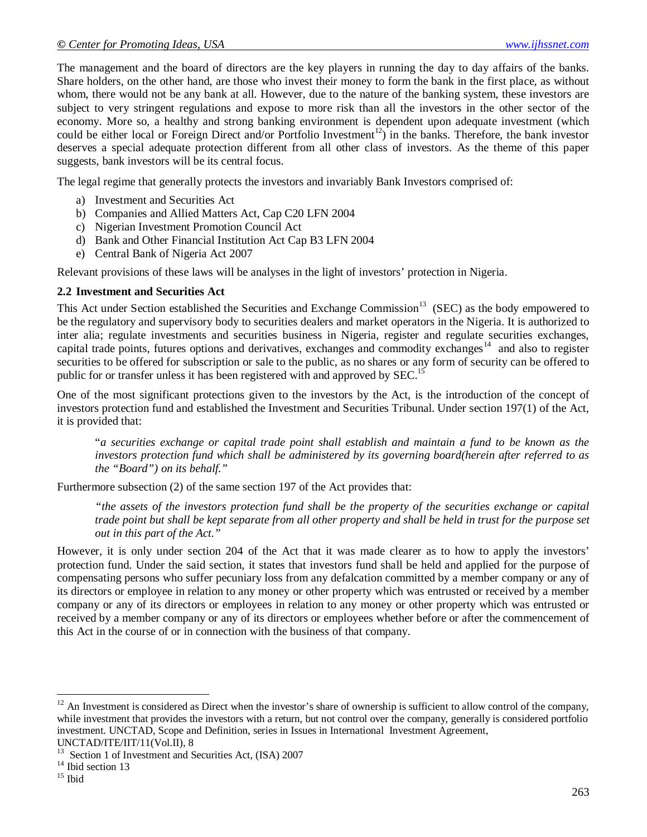The management and the board of directors are the key players in running the day to day affairs of the banks. Share holders, on the other hand, are those who invest their money to form the bank in the first place, as without whom, there would not be any bank at all. However, due to the nature of the banking system, these investors are subject to very stringent regulations and expose to more risk than all the investors in the other sector of the economy. More so, a healthy and strong banking environment is dependent upon adequate investment (which could be either local or Foreign Direct and/or Portfolio Investment<sup>12</sup>) in the banks. Therefore, the bank investor deserves a special adequate protection different from all other class of investors. As the theme of this paper suggests, bank investors will be its central focus.

The legal regime that generally protects the investors and invariably Bank Investors comprised of:

- a) Investment and Securities Act
- b) Companies and Allied Matters Act, Cap C20 LFN 2004
- c) Nigerian Investment Promotion Council Act
- d) Bank and Other Financial Institution Act Cap B3 LFN 2004
- e) Central Bank of Nigeria Act 2007

Relevant provisions of these laws will be analyses in the light of investors' protection in Nigeria.

#### **2.2 Investment and Securities Act**

This Act under Section established the Securities and Exchange Commission<sup>13</sup> (SEC) as the body empowered to be the regulatory and supervisory body to securities dealers and market operators in the Nigeria. It is authorized to inter alia; regulate investments and securities business in Nigeria, register and regulate securities exchanges, capital trade points, futures options and derivatives, exchanges and commodity exchanges<sup>14</sup> and also to register securities to be offered for subscription or sale to the public, as no shares or any form of security can be offered to public for or transfer unless it has been registered with and approved by SEC.<sup>15</sup>

One of the most significant protections given to the investors by the Act, is the introduction of the concept of investors protection fund and established the Investment and Securities Tribunal. Under section 197(1) of the Act, it is provided that:

"*a securities exchange or capital trade point shall establish and maintain a fund to be known as the investors protection fund which shall be administered by its governing board(herein after referred to as the "Board") on its behalf."*

Furthermore subsection (2) of the same section 197 of the Act provides that:

*"the assets of the investors protection fund shall be the property of the securities exchange or capital trade point but shall be kept separate from all other property and shall be held in trust for the purpose set out in this part of the Act."*

However, it is only under section 204 of the Act that it was made clearer as to how to apply the investors' protection fund. Under the said section, it states that investors fund shall be held and applied for the purpose of compensating persons who suffer pecuniary loss from any defalcation committed by a member company or any of its directors or employee in relation to any money or other property which was entrusted or received by a member company or any of its directors or employees in relation to any money or other property which was entrusted or received by a member company or any of its directors or employees whether before or after the commencement of this Act in the course of or in connection with the business of that company.

 $12$  An Investment is considered as Direct when the investor's share of ownership is sufficient to allow control of the company, while investment that provides the investors with a return, but not control over the company, generally is considered portfolio investment. UNCTAD, Scope and Definition, series in Issues in International Investment Agreement, UNCTAD/ITE/IIT/11(Vol.II), 8

Section 1 of Investment and Securities Act, (ISA) 2007

<sup>&</sup>lt;sup>14</sup> Ibid section 13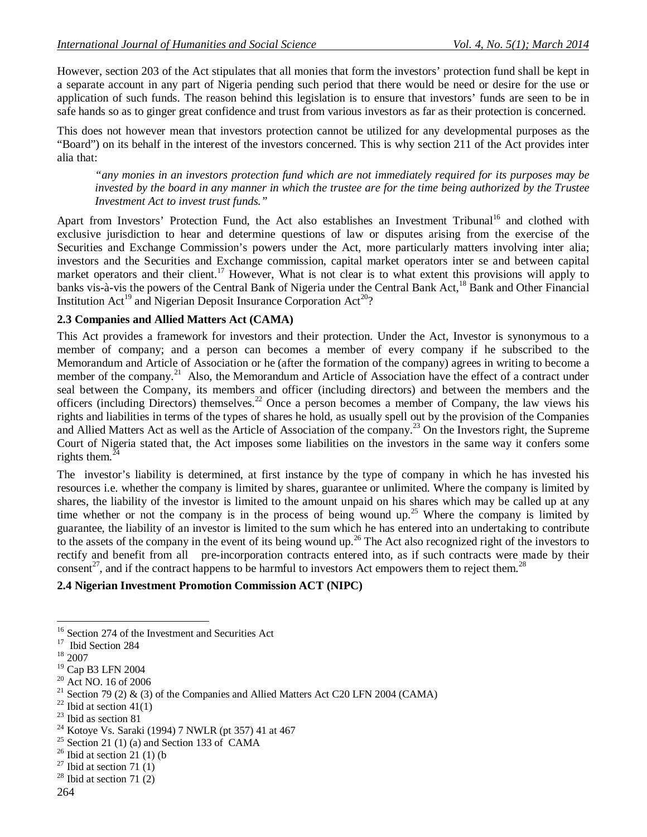However, section 203 of the Act stipulates that all monies that form the investors' protection fund shall be kept in a separate account in any part of Nigeria pending such period that there would be need or desire for the use or application of such funds. The reason behind this legislation is to ensure that investors' funds are seen to be in safe hands so as to ginger great confidence and trust from various investors as far as their protection is concerned.

This does not however mean that investors protection cannot be utilized for any developmental purposes as the "Board") on its behalf in the interest of the investors concerned. This is why section 211 of the Act provides inter alia that:

*"any monies in an investors protection fund which are not immediately required for its purposes may be invested by the board in any manner in which the trustee are for the time being authorized by the Trustee Investment Act to invest trust funds."*

Apart from Investors' Protection Fund, the Act also establishes an Investment Tribunal<sup>16</sup> and clothed with exclusive jurisdiction to hear and determine questions of law or disputes arising from the exercise of the Securities and Exchange Commission's powers under the Act, more particularly matters involving inter alia; investors and the Securities and Exchange commission, capital market operators inter se and between capital market operators and their client.<sup>17</sup> However, What is not clear is to what extent this provisions will apply to banks vis-à-vis the powers of the Central Bank of Nigeria under the Central Bank Act,<sup>18</sup> Bank and Other Financial Institution Act<sup>19</sup> and Nigerian Deposit Insurance Corporation Act<sup>20</sup>?

#### **2.3 Companies and Allied Matters Act (CAMA)**

This Act provides a framework for investors and their protection. Under the Act, Investor is synonymous to a member of company; and a person can becomes a member of every company if he subscribed to the Memorandum and Article of Association or he (after the formation of the company) agrees in writing to become a member of the company.<sup>21</sup> Also, the Memorandum and Article of Association have the effect of a contract under seal between the Company, its members and officer (including directors) and between the members and the officers (including Directors) themselves.<sup>22</sup> Once a person becomes a member of Company, the law views his rights and liabilities in terms of the types of shares he hold, as usually spell out by the provision of the Companies and Allied Matters Act as well as the Article of Association of the company.<sup>23</sup> On the Investors right, the Supreme Court of Nigeria stated that, the Act imposes some liabilities on the investors in the same way it confers some rights them. $^{24}$ 

The investor's liability is determined, at first instance by the type of company in which he has invested his resources i.e. whether the company is limited by shares, guarantee or unlimited. Where the company is limited by shares, the liability of the investor is limited to the amount unpaid on his shares which may be called up at any time whether or not the company is in the process of being wound up.<sup>25</sup> Where the company is limited by guarantee, the liability of an investor is limited to the sum which he has entered into an undertaking to contribute to the assets of the company in the event of its being wound up.<sup>26</sup> The Act also recognized right of the investors to rectify and benefit from all pre-incorporation contracts entered into, as if such contracts were made by their consent<sup>27</sup>, and if the contract happens to be harmful to investors Act empowers them to reject them.<sup>28</sup>

#### **2.4 Nigerian Investment Promotion Commission ACT (NIPC)**

<sup>&</sup>lt;sup>16</sup> Section 274 of the Investment and Securities Act

<sup>&</sup>lt;sup>17</sup> Ibid Section 284

 $^{\rm 18}$  2007

<sup>19</sup> Cap B3 LFN 2004

<sup>20</sup> Act NO. 16 of 2006

<sup>&</sup>lt;sup>21</sup> Section 79 (2) & (3) of the Companies and Allied Matters Act C20 LFN 2004 (CAMA)

 $22$  Ibid at section 41(1)

<sup>23</sup> Ibid as section 81

<sup>24</sup> Kotoye Vs. Saraki (1994) 7 NWLR (pt 357) 41 at 467

 $25$  Section 21 (1) (a) and Section 133 of CAMA

 $26$  Ibid at section 21 (1) (b

 $27$  Ibid at section 71 (1)

 $28$  Ibid at section 71 (2)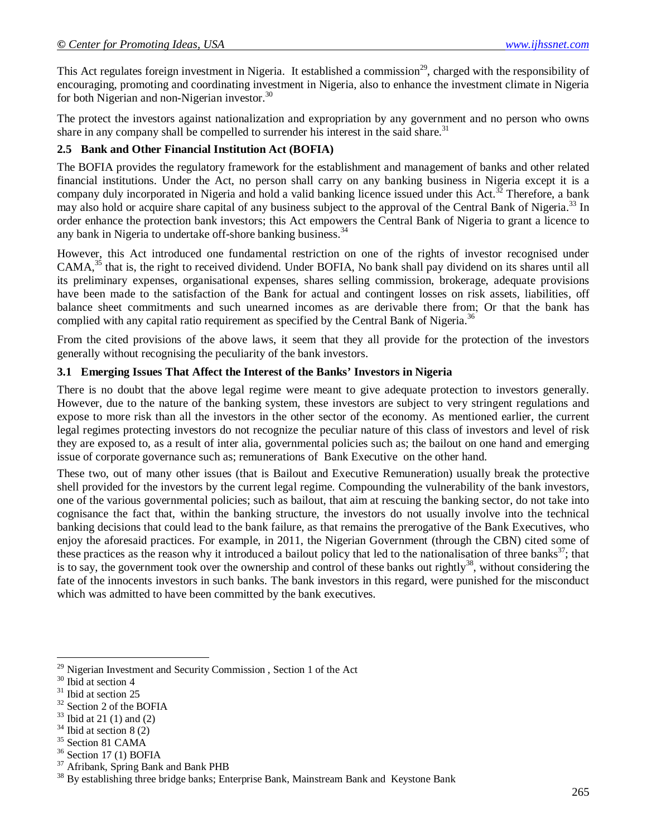This Act regulates foreign investment in Nigeria. It established a commission<sup>29</sup>, charged with the responsibility of encouraging, promoting and coordinating investment in Nigeria, also to enhance the investment climate in Nigeria for both Nigerian and non-Nigerian investor.<sup>30</sup>

The protect the investors against nationalization and expropriation by any government and no person who owns share in any company shall be compelled to surrender his interest in the said share.<sup>31</sup>

## **2.5 Bank and Other Financial Institution Act (BOFIA)**

The BOFIA provides the regulatory framework for the establishment and management of banks and other related financial institutions. Under the Act, no person shall carry on any banking business in Nigeria except it is a company duly incorporated in Nigeria and hold a valid banking licence issued under this Act.<sup>32</sup> Therefore, a bank may also hold or acquire share capital of any business subject to the approval of the Central Bank of Nigeria.<sup>33</sup> In order enhance the protection bank investors; this Act empowers the Central Bank of Nigeria to grant a licence to any bank in Nigeria to undertake off-shore banking business.<sup>3</sup>

However, this Act introduced one fundamental restriction on one of the rights of investor recognised under CAMA,<sup>35</sup> that is, the right to received dividend. Under BOFIA, No bank shall pay dividend on its shares until all its preliminary expenses, organisational expenses, shares selling commission, brokerage, adequate provisions have been made to the satisfaction of the Bank for actual and contingent losses on risk assets, liabilities, off balance sheet commitments and such unearned incomes as are derivable there from; Or that the bank has complied with any capital ratio requirement as specified by the Central Bank of Nigeria.<sup>36</sup>

From the cited provisions of the above laws, it seem that they all provide for the protection of the investors generally without recognising the peculiarity of the bank investors.

## **3.1 Emerging Issues That Affect the Interest of the Banks' Investors in Nigeria**

There is no doubt that the above legal regime were meant to give adequate protection to investors generally. However, due to the nature of the banking system, these investors are subject to very stringent regulations and expose to more risk than all the investors in the other sector of the economy. As mentioned earlier, the current legal regimes protecting investors do not recognize the peculiar nature of this class of investors and level of risk they are exposed to, as a result of inter alia, governmental policies such as; the bailout on one hand and emerging issue of corporate governance such as; remunerations of Bank Executive on the other hand.

These two, out of many other issues (that is Bailout and Executive Remuneration) usually break the protective shell provided for the investors by the current legal regime. Compounding the vulnerability of the bank investors, one of the various governmental policies; such as bailout, that aim at rescuing the banking sector, do not take into cognisance the fact that, within the banking structure, the investors do not usually involve into the technical banking decisions that could lead to the bank failure, as that remains the prerogative of the Bank Executives, who enjoy the aforesaid practices. For example, in 2011, the Nigerian Government (through the CBN) cited some of these practices as the reason why it introduced a bailout policy that led to the nationalisation of three banks $37$ ; that is to say, the government took over the ownership and control of these banks out rightly<sup>38</sup>, without considering the fate of the innocents investors in such banks. The bank investors in this regard, were punished for the misconduct which was admitted to have been committed by the bank executives.

<sup>&</sup>lt;sup>29</sup> Nigerian Investment and Security Commission, Section 1 of the Act

<sup>&</sup>lt;sup>30</sup> Ibid at section 4

<sup>&</sup>lt;sup>31</sup> Ibid at section 25

<sup>&</sup>lt;sup>32</sup> Section 2 of the BOFIA

 $33$  Ibid at 21 (1) and (2)

 $34$  Ibid at section 8 (2)

<sup>&</sup>lt;sup>35</sup> Section 81 CAMA

 $36$  Section 17 (1) BOFIA

<sup>&</sup>lt;sup>37</sup> Afribank, Spring Bank and Bank PHB

<sup>&</sup>lt;sup>38</sup> By establishing three bridge banks; Enterprise Bank, Mainstream Bank and Keystone Bank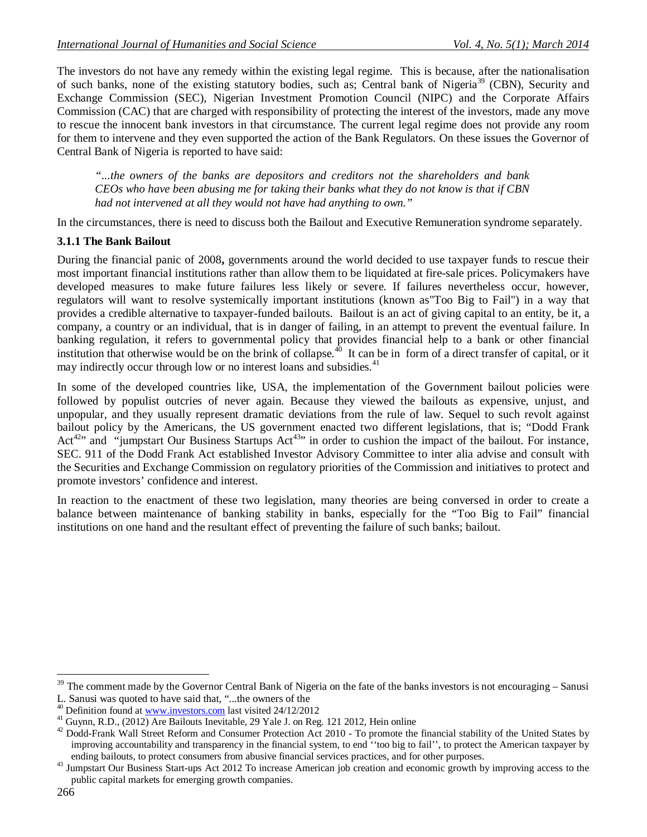The investors do not have any remedy within the existing legal regime. This is because, after the nationalisation of such banks, none of the existing statutory bodies, such as; Central bank of Nigeria<sup>39</sup> (CBN), Security and Exchange Commission (SEC), Nigerian Investment Promotion Council (NIPC) and the Corporate Affairs Commission (CAC) that are charged with responsibility of protecting the interest of the investors, made any move to rescue the innocent bank investors in that circumstance. The current legal regime does not provide any room for them to intervene and they even supported the action of the Bank Regulators. On these issues the Governor of Central Bank of Nigeria is reported to have said:

*"...the owners of the banks are depositors and creditors not the shareholders and bank CEOs who have been abusing me for taking their banks what they do not know is that if CBN had not intervened at all they would not have had anything to own."*

In the circumstances, there is need to discuss both the Bailout and Executive Remuneration syndrome separately.

#### **3.1.1 The Bank Bailout**

During the financial panic of 2008**,** governments around the world decided to use taxpayer funds to rescue their most important financial institutions rather than allow them to be liquidated at fire-sale prices. Policymakers have developed measures to make future failures less likely or severe. If failures nevertheless occur, however, regulators will want to resolve systemically important institutions (known as"Too Big to Fail") in a way that provides a credible alternative to taxpayer-funded bailouts. Bailout is an act of giving capital to an entity, be it, a company, a country or an individual, that is in danger of failing, in an attempt to prevent the eventual failure. In banking regulation, it refers to governmental policy that provides financial help to a bank or other financial institution that otherwise would be on the brink of collapse.<sup>40</sup> It can be in form of a direct transfer of capital, or it may indirectly occur through low or no interest loans and subsidies.<sup>41</sup>

In some of the developed countries like, USA, the implementation of the Government bailout policies were followed by populist outcries of never again. Because they viewed the bailouts as expensive, unjust, and unpopular, and they usually represent dramatic deviations from the rule of law. Sequel to such revolt against bailout policy by the Americans, the US government enacted two different legislations, that is; "Dodd Frank Act<sup>42</sup>" and "jumpstart Our Business Startups Act<sup>43</sup>" in order to cushion the impact of the bailout. For instance, SEC. 911 of the Dodd Frank Act established Investor Advisory Committee to inter alia advise and consult with the Securities and Exchange Commission on regulatory priorities of the Commission and initiatives to protect and promote investors' confidence and interest.

In reaction to the enactment of these two legislation, many theories are being conversed in order to create a balance between maintenance of banking stability in banks, especially for the "Too Big to Fail" financial institutions on one hand and the resultant effect of preventing the failure of such banks; bailout.

 $39$  The comment made by the Governor Central Bank of Nigeria on the fate of the banks investors is not encouraging – Sanusi L. Sanusi was quoted to have said that, "...the owners of the

<sup>&</sup>lt;sup>40</sup> Definition found at www.investors.com last visited 24/12/2012

<sup>&</sup>lt;sup>41</sup> Guynn, R.D., (2012) Are Bailouts Inevitable, 29 Yale J. on Reg. 121 2012, Hein online

 $42$  Dodd-Frank Wall Street Reform and Consumer Protection Act 2010 - To promote the financial stability of the United States by improving accountability and transparency in the financial system, to end ''too big to fail'', to protect the American taxpayer by ending bailouts, to protect consumers from abusive financial services practices, and for other purposes.

<sup>&</sup>lt;sup>43</sup> Jumpstart Our Business Start-ups Act 2012 To increase American job creation and economic growth by improving access to the public capital markets for emerging growth companies.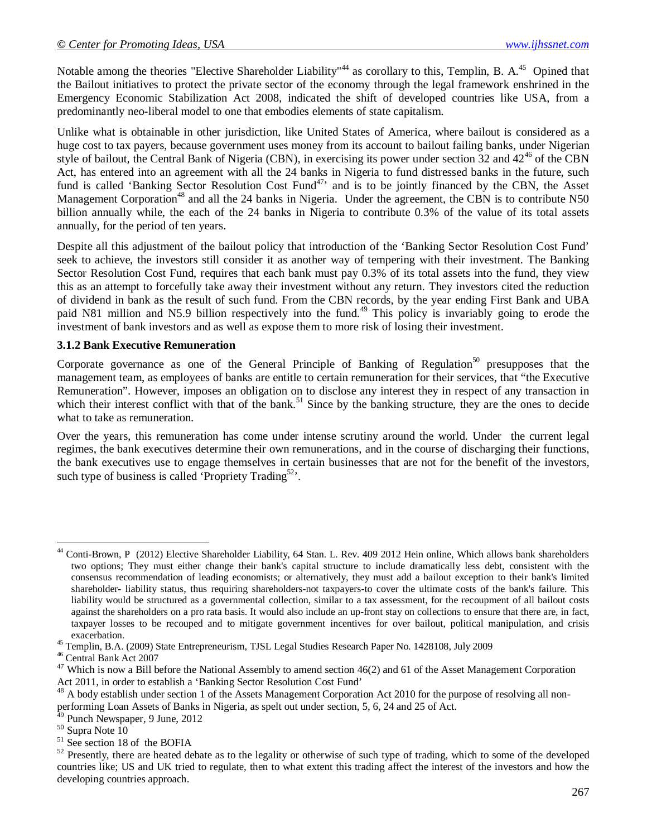Notable among the theories "Elective Shareholder Liability"<sup>44</sup> as corollary to this, Templin, B. A.<sup>45</sup> Opined that the Bailout initiatives to protect the private sector of the economy through the legal framework enshrined in the Emergency Economic Stabilization Act 2008, indicated the shift of developed countries like USA, from a predominantly neo-liberal model to one that embodies elements of state capitalism.

Unlike what is obtainable in other jurisdiction, like United States of America, where bailout is considered as a huge cost to tax payers, because government uses money from its account to bailout failing banks, under Nigerian style of bailout, the Central Bank of Nigeria (CBN), in exercising its power under section  $32$  and  $42^{46}$  of the CBN Act, has entered into an agreement with all the 24 banks in Nigeria to fund distressed banks in the future, such fund is called 'Banking Sector Resolution Cost Fund<sup>47,</sup> and is to be jointly financed by the CBN, the Asset Management Corporation<sup>48</sup> and all the 24 banks in Nigeria. Under the agreement, the CBN is to contribute N50 billion annually while, the each of the 24 banks in Nigeria to contribute 0.3% of the value of its total assets annually, for the period of ten years.

Despite all this adjustment of the bailout policy that introduction of the 'Banking Sector Resolution Cost Fund' seek to achieve, the investors still consider it as another way of tempering with their investment. The Banking Sector Resolution Cost Fund, requires that each bank must pay 0.3% of its total assets into the fund, they view this as an attempt to forcefully take away their investment without any return. They investors cited the reduction of dividend in bank as the result of such fund. From the CBN records, by the year ending First Bank and UBA paid N81 million and N5.9 billion respectively into the fund.<sup>49</sup> This policy is invariably going to erode the investment of bank investors and as well as expose them to more risk of losing their investment.

#### **3.1.2 Bank Executive Remuneration**

Corporate governance as one of the General Principle of Banking of Regulation<sup>50</sup> presupposes that the management team, as employees of banks are entitle to certain remuneration for their services, that "the Executive Remuneration". However, imposes an obligation on to disclose any interest they in respect of any transaction in which their interest conflict with that of the bank.<sup>51</sup> Since by the banking structure, they are the ones to decide what to take as remuneration.

Over the years, this remuneration has come under intense scrutiny around the world. Under the current legal regimes, the bank executives determine their own remunerations, and in the course of discharging their functions, the bank executives use to engage themselves in certain businesses that are not for the benefit of the investors, such type of business is called 'Propriety Trading<sup>52</sup>'.

 $\overline{a}$ Conti-Brown, P (2012) Elective Shareholder Liability, 64 Stan. L. Rev. 409 2012 Hein online, Which allows bank shareholders two options; They must either change their bank's capital structure to include dramatically less debt, consistent with the consensus recommendation of leading economists; or alternatively, they must add a bailout exception to their bank's limited shareholder- liability status, thus requiring shareholders-not taxpayers-to cover the ultimate costs of the bank's failure. This liability would be structured as a governmental collection, similar to a tax assessment, for the recoupment of all bailout costs against the shareholders on a pro rata basis. It would also include an up-front stay on collections to ensure that there are, in fact, taxpayer losses to be recouped and to mitigate government incentives for over bailout, political manipulation, and crisis exacerbation.

<sup>45</sup> Templin, B.A. (2009) State Entrepreneurism, TJSL Legal Studies Research Paper No. 1428108, July 2009

<sup>46</sup> Central Bank Act 2007

 $47$  Which is now a Bill before the National Assembly to amend section  $46(2)$  and 61 of the Asset Management Corporation Act 2011, in order to establish a 'Banking Sector Resolution Cost Fund'

 $^{48}$  A body establish under section 1 of the Assets Management Corporation Act 2010 for the purpose of resolving all non-

performing Loan Assets of Banks in Nigeria, as spelt out under section, 5, 6, 24 and 25 of Act.

 $49$  Punch Newspaper, 9 June, 2012

 $50$  Supra Note  $10$ 

 $51$  See section 18 of the BOFIA

 $52$  Presently, there are heated debate as to the legality or otherwise of such type of trading, which to some of the developed countries like; US and UK tried to regulate, then to what extent this trading affect the interest of the investors and how the developing countries approach.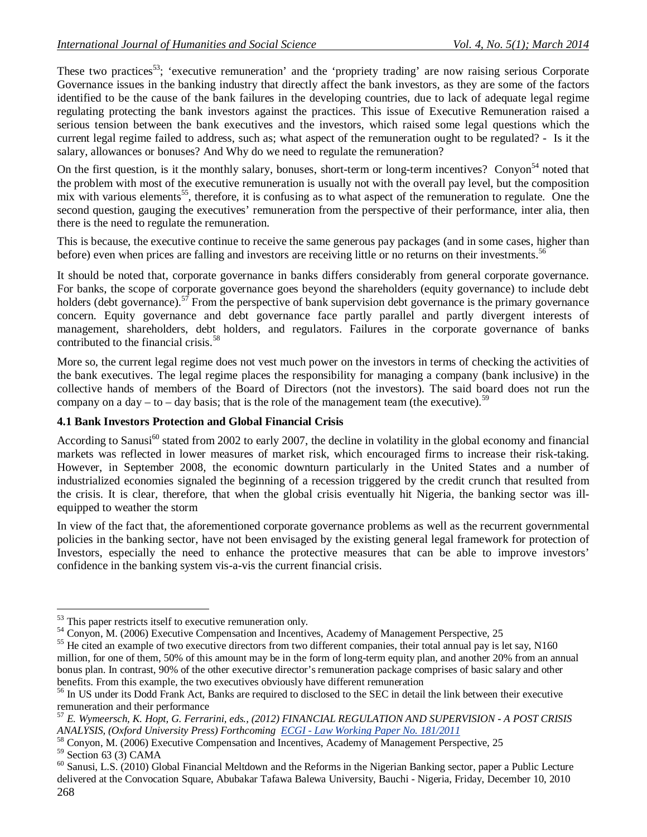These two practices<sup>53</sup>; 'executive remuneration' and the 'propriety trading' are now raising serious Corporate Governance issues in the banking industry that directly affect the bank investors, as they are some of the factors identified to be the cause of the bank failures in the developing countries, due to lack of adequate legal regime regulating protecting the bank investors against the practices. This issue of Executive Remuneration raised a serious tension between the bank executives and the investors, which raised some legal questions which the current legal regime failed to address, such as; what aspect of the remuneration ought to be regulated? - Is it the salary, allowances or bonuses? And Why do we need to regulate the remuneration?

On the first question, is it the monthly salary, bonuses, short-term or long-term incentives? Conyon<sup>54</sup> noted that the problem with most of the executive remuneration is usually not with the overall pay level, but the composition mix with various elements<sup>55</sup>, therefore, it is confusing as to what aspect of the remuneration to regulate. One the second question, gauging the executives' remuneration from the perspective of their performance, inter alia, then there is the need to regulate the remuneration.

This is because, the executive continue to receive the same generous pay packages (and in some cases, higher than before) even when prices are falling and investors are receiving little or no returns on their investments.<sup>56</sup>

It should be noted that, corporate governance in banks differs considerably from general corporate governance. For banks, the scope of corporate governance goes beyond the shareholders (equity governance) to include debt holders (debt governance).<sup>57</sup> From the perspective of bank supervision debt governance is the primary governance concern. Equity governance and debt governance face partly parallel and partly divergent interests of management, shareholders, debt holders, and regulators. Failures in the corporate governance of banks contributed to the financial crisis.<sup>58</sup>

More so, the current legal regime does not vest much power on the investors in terms of checking the activities of the bank executives. The legal regime places the responsibility for managing a company (bank inclusive) in the collective hands of members of the Board of Directors (not the investors). The said board does not run the company on a day – to – day basis; that is the role of the management team (the executive).<sup>59</sup>

## **4.1 Bank Investors Protection and Global Financial Crisis**

According to Sanusi<sup>60</sup> stated from 2002 to early 2007, the decline in volatility in the global economy and financial markets was reflected in lower measures of market risk, which encouraged firms to increase their risk-taking. However, in September 2008, the economic downturn particularly in the United States and a number of industrialized economies signaled the beginning of a recession triggered by the credit crunch that resulted from the crisis. It is clear, therefore, that when the global crisis eventually hit Nigeria, the banking sector was illequipped to weather the storm

In view of the fact that, the aforementioned corporate governance problems as well as the recurrent governmental policies in the banking sector, have not been envisaged by the existing general legal framework for protection of Investors, especially the need to enhance the protective measures that can be able to improve investors' confidence in the banking system vis-a-vis the current financial crisis.

 $\overline{a}$ <sup>53</sup> This paper restricts itself to executive remuneration only.

<sup>&</sup>lt;sup>54</sup> Conyon, M. (2006) Executive Compensation and Incentives, Academy of Management Perspective, 25

<sup>&</sup>lt;sup>55</sup> He cited an example of two executive directors from two different companies, their total annual pay is let say, N160 million, for one of them, 50% of this amount may be in the form of long-term equity plan, and another 20% from an annual bonus plan. In contrast, 90% of the other executive director's remuneration package comprises of basic salary and other benefits. From this example, the two executives obviously have different remuneration

<sup>&</sup>lt;sup>56</sup> In US under its Dodd Frank Act, Banks are required to disclosed to the SEC in detail the link between their executive remuneration and their performance

<sup>57</sup> *E. Wymeersch, K. Hopt, G. Ferrarini, eds., (2012) FINANCIAL REGULATION AND SUPERVISION - A POST CRISIS ANALYSIS, (Oxford University Press) Forthcoming ECGI - Law Working Paper No. 181/2011*

<sup>&</sup>lt;sup>58</sup> Conyon, M. (2006) Executive Compensation and Incentives, Academy of Management Perspective, 25

 $59$  Section 63 (3) CAMA

<sup>268</sup>  $60$  Sanusi, L.S. (2010) Global Financial Meltdown and the Reforms in the Nigerian Banking sector, paper a Public Lecture delivered at the Convocation Square, Abubakar Tafawa Balewa University, Bauchi - Nigeria, Friday, December 10, 2010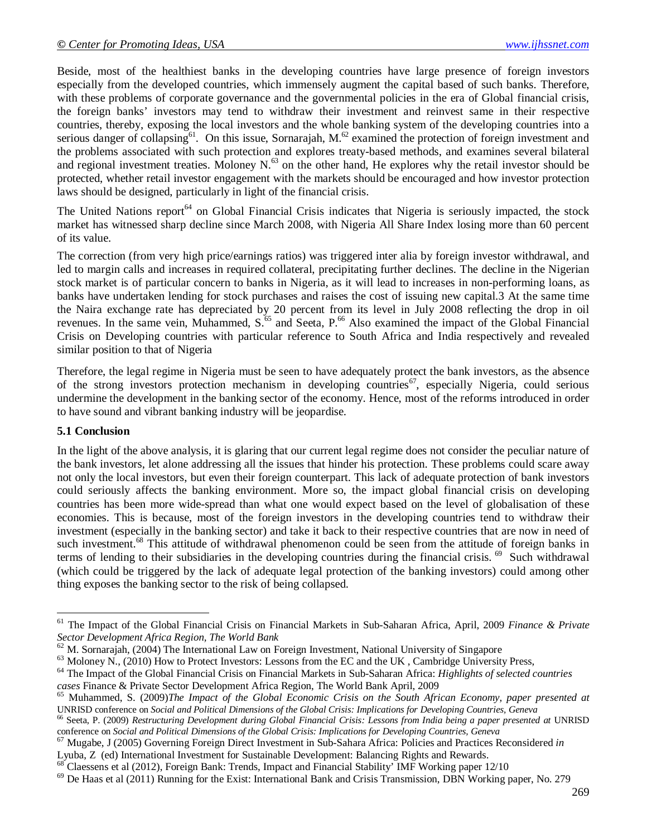Beside, most of the healthiest banks in the developing countries have large presence of foreign investors especially from the developed countries, which immensely augment the capital based of such banks. Therefore, with these problems of corporate governance and the governmental policies in the era of Global financial crisis, the foreign banks' investors may tend to withdraw their investment and reinvest same in their respective countries, thereby, exposing the local investors and the whole banking system of the developing countries into a serious danger of collapsing<sup>61</sup>. On this issue, Sornarajah, M.<sup>62</sup> examined the protection of foreign investment and the problems associated with such protection and explores treaty-based methods, and examines several bilateral and regional investment treaties. Moloney  $N<sup>63</sup>$  on the other hand, He explores why the retail investor should be protected, whether retail investor engagement with the markets should be encouraged and how investor protection laws should be designed, particularly in light of the financial crisis.

The United Nations report<sup>64</sup> on Global Financial Crisis indicates that Nigeria is seriously impacted, the stock market has witnessed sharp decline since March 2008, with Nigeria All Share Index losing more than 60 percent of its value.

The correction (from very high price/earnings ratios) was triggered inter alia by foreign investor withdrawal, and led to margin calls and increases in required collateral, precipitating further declines. The decline in the Nigerian stock market is of particular concern to banks in Nigeria, as it will lead to increases in non-performing loans, as banks have undertaken lending for stock purchases and raises the cost of issuing new capital.3 At the same time the Naira exchange rate has depreciated by 20 percent from its level in July 2008 reflecting the drop in oil revenues. In the same vein, Muhammed, S.<sup>65</sup> and Seeta, P.<sup>66</sup> Also examined the impact of the Global Financial Crisis on Developing countries with particular reference to South Africa and India respectively and revealed similar position to that of Nigeria

Therefore, the legal regime in Nigeria must be seen to have adequately protect the bank investors, as the absence of the strong investors protection mechanism in developing countries<sup>67</sup>, especially Nigeria, could serious undermine the development in the banking sector of the economy. Hence, most of the reforms introduced in order to have sound and vibrant banking industry will be jeopardise.

#### **5.1 Conclusion**

 $\overline{a}$ 

In the light of the above analysis, it is glaring that our current legal regime does not consider the peculiar nature of the bank investors, let alone addressing all the issues that hinder his protection. These problems could scare away not only the local investors, but even their foreign counterpart. This lack of adequate protection of bank investors could seriously affects the banking environment. More so, the impact global financial crisis on developing countries has been more wide-spread than what one would expect based on the level of globalisation of these economies. This is because, most of the foreign investors in the developing countries tend to withdraw their investment (especially in the banking sector) and take it back to their respective countries that are now in need of such investment.<sup>68</sup> This attitude of withdrawal phenomenon could be seen from the attitude of foreign banks in terms of lending to their subsidiaries in the developing countries during the financial crisis. <sup>69</sup> Such withdrawal (which could be triggered by the lack of adequate legal protection of the banking investors) could among other thing exposes the banking sector to the risk of being collapsed.

<sup>61</sup> The Impact of the Global Financial Crisis on Financial Markets in Sub-Saharan Africa, April, 2009 *Finance & Private Sector Development Africa Region, The World Bank*

 $62$  M. Sornarajah, (2004) The International Law on Foreign Investment, National University of Singapore

<sup>&</sup>lt;sup>63</sup> Moloney N., (2010) How to Protect Investors: Lessons from the EC and the UK, Cambridge University Press,  $^{64}$  The Impact of the Global Einancial Crisis on Einancial Markets in Sub-Sabaran Africa: *Highlights of sel* 

<sup>64</sup> The Impact of the Global Financial Crisis on Financial Markets in Sub-Saharan Africa: *Highlights of selected countries cases* Finance & Private Sector Development Africa Region, The World Bank April, 2009

<sup>65</sup> Muhammed, S. (2009)*The Impact of the Global Economic Crisis on the South African Economy, paper presented at*  UNRISD conference on *Social and Political Dimensions of the Global Crisis: Implications for Developing Countries, Geneva*

<sup>66</sup> Seeta, P. (2009) *Restructuring Development during Global Financial Crisis: Lessons from India being a paper presented at* UNRISD conference on *Social and Political Dimensions of the Global Crisis: Implications for Developing Countries, Geneva*

<sup>67</sup> Mugabe, J (2005) Governing Foreign Direct Investment in Sub-Sahara Africa: Policies and Practices Reconsidered *in* Lyuba, Z (ed) International Investment for Sustainable Development: Balancing Rights and Rewards.

<sup>&</sup>lt;sup>68</sup> Claessens et al (2012), Foreign Bank: Trends, Impact and Financial Stability' IMF Working paper 12/10

<sup>&</sup>lt;sup>69</sup> De Haas et al (2011) Running for the Exist: International Bank and Crisis Transmission, DBN Working paper, No. 279